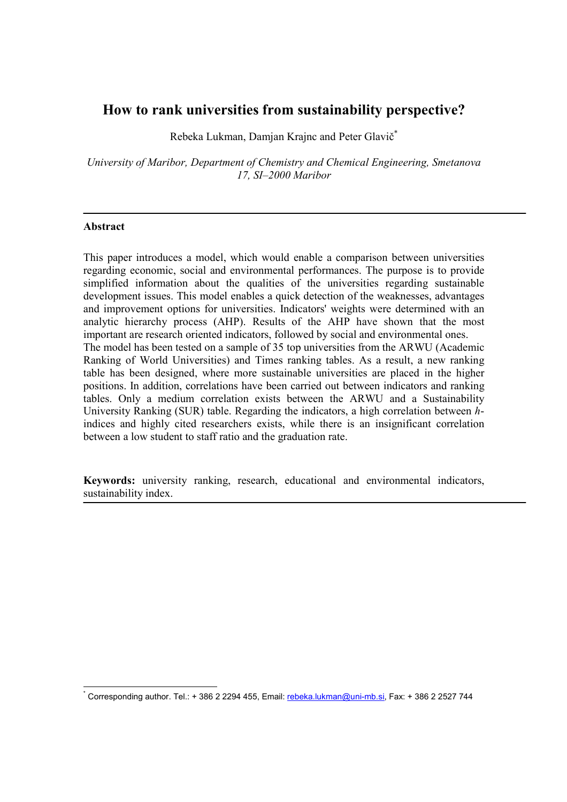# How to rank universities from sustainability perspective?

Rebeka Lukman, Damjan Krajnc and Peter Glavič\*

University of Maribor, Department of Chemistry and Chemical Engineering, Smetanova 17, SI–2000 Maribor

### Abstract

 $\overline{a}$ 

This paper introduces a model, which would enable a comparison between universities regarding economic, social and environmental performances. The purpose is to provide simplified information about the qualities of the universities regarding sustainable development issues. This model enables a quick detection of the weaknesses, advantages and improvement options for universities. Indicators' weights were determined with an analytic hierarchy process (AHP). Results of the AHP have shown that the most important are research oriented indicators, followed by social and environmental ones. The model has been tested on a sample of 35 top universities from the ARWU (Academic Ranking of World Universities) and Times ranking tables. As a result, a new ranking table has been designed, where more sustainable universities are placed in the higher positions. In addition, correlations have been carried out between indicators and ranking tables. Only a medium correlation exists between the ARWU and a Sustainability University Ranking (SUR) table. Regarding the indicators, a high correlation between hindices and highly cited researchers exists, while there is an insignificant correlation between a low student to staff ratio and the graduation rate.

Keywords: university ranking, research, educational and environmental indicators, sustainability index.

<sup>\*</sup> Corresponding author. Tel.: + 386 2 2294 455, Email: rebeka.lukman@uni-mb.si, Fax: + 386 2 2527 744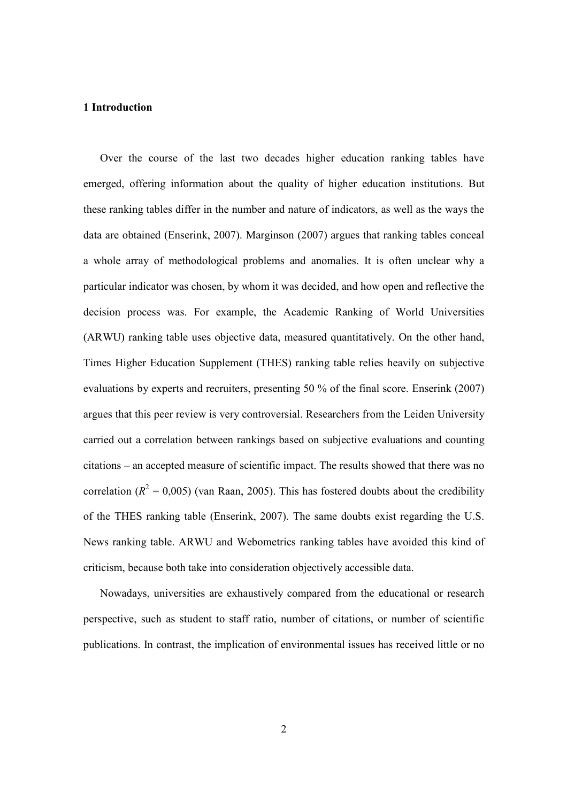### 1 Introduction

Over the course of the last two decades higher education ranking tables have emerged, offering information about the quality of higher education institutions. But these ranking tables differ in the number and nature of indicators, as well as the ways the data are obtained (Enserink, 2007). Marginson (2007) argues that ranking tables conceal a whole array of methodological problems and anomalies. It is often unclear why a particular indicator was chosen, by whom it was decided, and how open and reflective the decision process was. For example, the Academic Ranking of World Universities (ARWU) ranking table uses objective data, measured quantitatively. On the other hand, Times Higher Education Supplement (THES) ranking table relies heavily on subjective evaluations by experts and recruiters, presenting 50 % of the final score. Enserink (2007) argues that this peer review is very controversial. Researchers from the Leiden University carried out a correlation between rankings based on subjective evaluations and counting citations – an accepted measure of scientific impact. The results showed that there was no correlation ( $R^2 = 0.005$ ) (van Raan, 2005). This has fostered doubts about the credibility of the THES ranking table (Enserink, 2007). The same doubts exist regarding the U.S. News ranking table. ARWU and Webometrics ranking tables have avoided this kind of criticism, because both take into consideration objectively accessible data.

Nowadays, universities are exhaustively compared from the educational or research perspective, such as student to staff ratio, number of citations, or number of scientific publications. In contrast, the implication of environmental issues has received little or no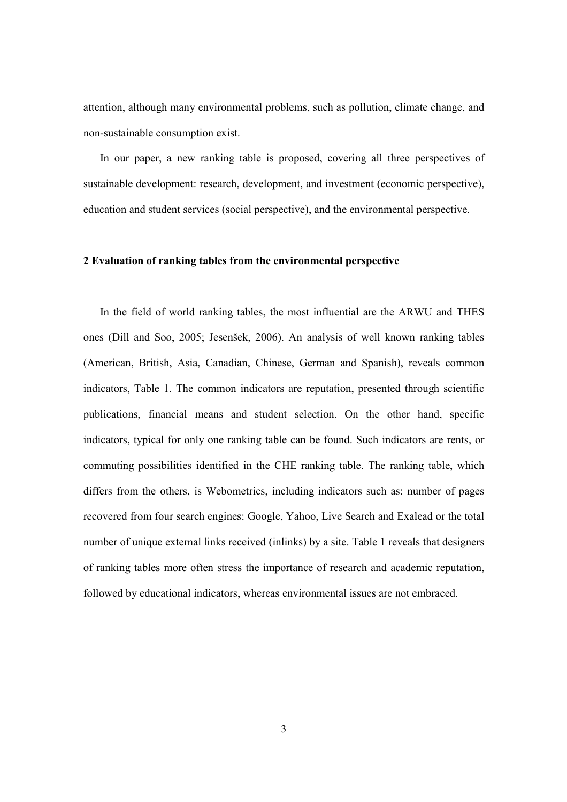attention, although many environmental problems, such as pollution, climate change, and non-sustainable consumption exist.

In our paper, a new ranking table is proposed, covering all three perspectives of sustainable development: research, development, and investment (economic perspective), education and student services (social perspective), and the environmental perspective.

### 2 Evaluation of ranking tables from the environmental perspective

In the field of world ranking tables, the most influential are the ARWU and THES ones (Dill and Soo, 2005; Jesenšek, 2006). An analysis of well known ranking tables (American, British, Asia, Canadian, Chinese, German and Spanish), reveals common indicators, Table 1. The common indicators are reputation, presented through scientific publications, financial means and student selection. On the other hand, specific indicators, typical for only one ranking table can be found. Such indicators are rents, or commuting possibilities identified in the CHE ranking table. The ranking table, which differs from the others, is Webometrics, including indicators such as: number of pages recovered from four search engines: Google, Yahoo, Live Search and Exalead or the total number of unique external links received (inlinks) by a site. Table 1 reveals that designers of ranking tables more often stress the importance of research and academic reputation, followed by educational indicators, whereas environmental issues are not embraced.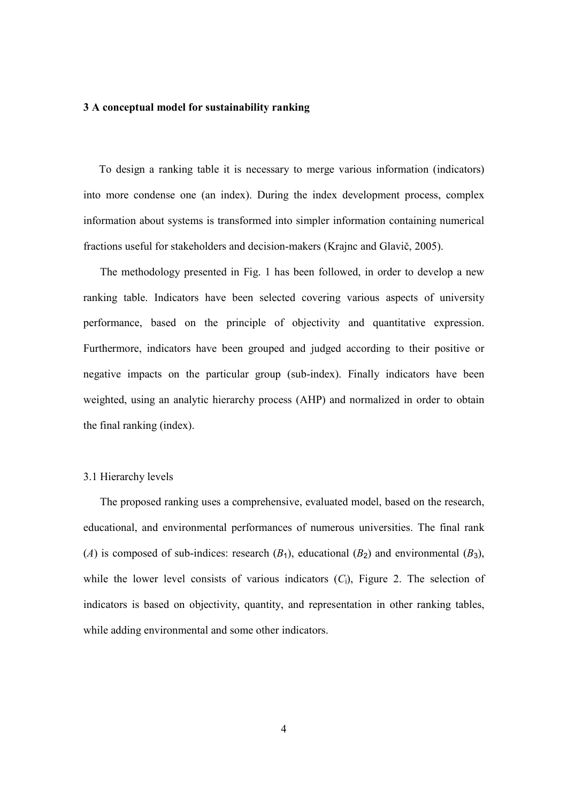#### 3 A conceptual model for sustainability ranking

To design a ranking table it is necessary to merge various information (indicators) into more condense one (an index). During the index development process, complex information about systems is transformed into simpler information containing numerical fractions useful for stakeholders and decision-makers (Krajnc and Glavič, 2005).

The methodology presented in Fig. 1 has been followed, in order to develop a new ranking table. Indicators have been selected covering various aspects of university performance, based on the principle of objectivity and quantitative expression. Furthermore, indicators have been grouped and judged according to their positive or negative impacts on the particular group (sub-index). Finally indicators have been weighted, using an analytic hierarchy process (AHP) and normalized in order to obtain the final ranking (index).

#### 3.1 Hierarchy levels

The proposed ranking uses a comprehensive, evaluated model, based on the research, educational, and environmental performances of numerous universities. The final rank (A) is composed of sub-indices: research  $(B_1)$ , educational  $(B_2)$  and environmental  $(B_3)$ , while the lower level consists of various indicators  $(C_i)$ , Figure 2. The selection of indicators is based on objectivity, quantity, and representation in other ranking tables, while adding environmental and some other indicators.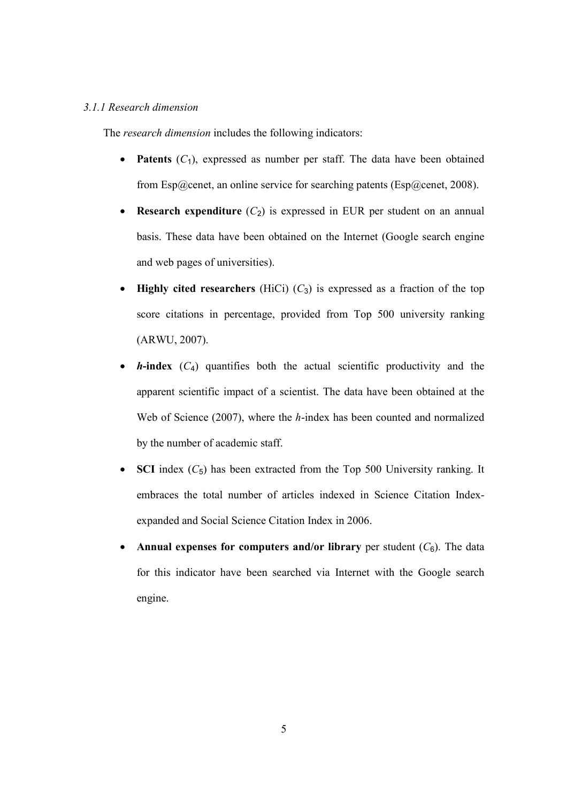### 3.1.1 Research dimension

The research dimension includes the following indicators:

- Patents  $(C_1)$ , expressed as number per staff. The data have been obtained from Esp@cenet, an online service for searching patents (Esp@cenet, 2008).
- Research expenditure  $(C_2)$  is expressed in EUR per student on an annual basis. These data have been obtained on the Internet (Google search engine and web pages of universities).
- Highly cited researchers (HiCi)  $(C_3)$  is expressed as a fraction of the top score citations in percentage, provided from Top 500 university ranking (ARWU, 2007).
- **h-index**  $(C_4)$  quantifies both the actual scientific productivity and the apparent scientific impact of a scientist. The data have been obtained at the Web of Science (2007), where the h-index has been counted and normalized by the number of academic staff.
- SCI index  $(C_5)$  has been extracted from the Top 500 University ranking. It embraces the total number of articles indexed in Science Citation Indexexpanded and Social Science Citation Index in 2006.
- Annual expenses for computers and/or library per student  $(C_6)$ . The data for this indicator have been searched via Internet with the Google search engine.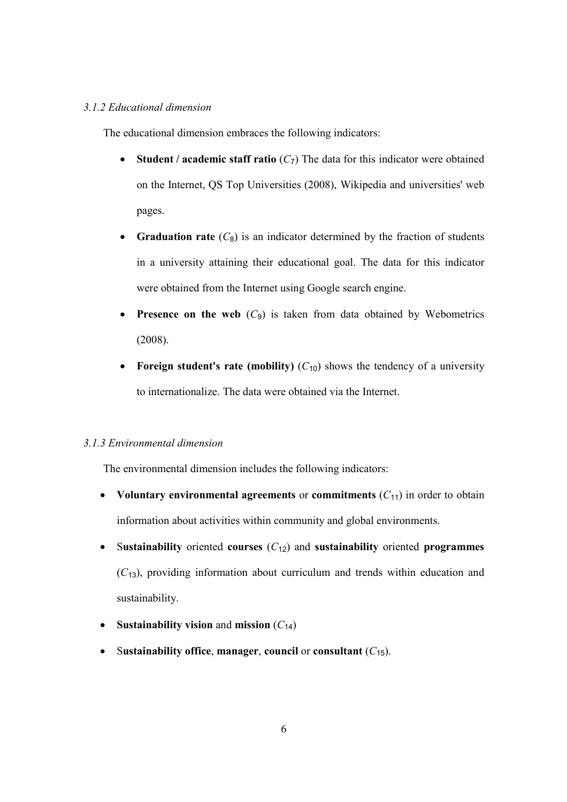### 3.1.2 Educational dimension

The educational dimension embraces the following indicators:

- Student / academic staff ratio  $(C_7)$  The data for this indicator were obtained on the Internet, QS Top Universities (2008), Wikipedia and universities' web pages.
- **Graduation rate**  $(C_8)$  is an indicator determined by the fraction of students in a university attaining their educational goal. The data for this indicator were obtained from the Internet using Google search engine.
- **Presence on the web**  $(C_9)$  is taken from data obtained by Webometrics (2008).
- **Foreign student's rate (mobility)**  $(C_{10})$  shows the tendency of a university to internationalize. The data were obtained via the Internet.

#### 3.1.3 Environmental dimension

The environmental dimension includes the following indicators:

- Voluntary environmental agreements or commitments  $(C_{11})$  in order to obtain information about activities within community and global environments.
- Sustainability oriented courses  $(C_{12})$  and sustainability oriented programmes  $(C_{13})$ , providing information about curriculum and trends within education and sustainability.
- Sustainability vision and mission  $(C_{14})$
- Sustainability office, manager, council or consultant  $(C_{15})$ .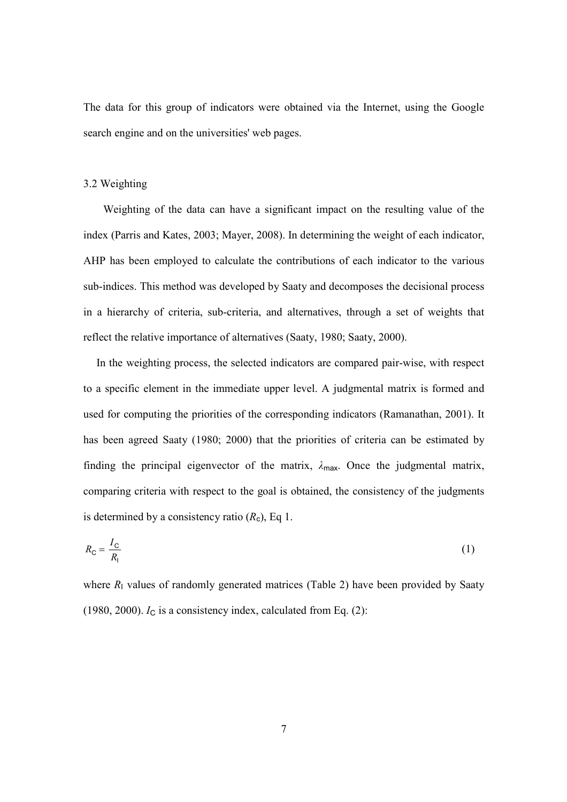The data for this group of indicators were obtained via the Internet, using the Google search engine and on the universities' web pages.

#### 3.2 Weighting

Weighting of the data can have a significant impact on the resulting value of the index (Parris and Kates, 2003; Mayer, 2008). In determining the weight of each indicator, AHP has been employed to calculate the contributions of each indicator to the various sub-indices. This method was developed by Saaty and decomposes the decisional process in a hierarchy of criteria, sub-criteria, and alternatives, through a set of weights that reflect the relative importance of alternatives (Saaty, 1980; Saaty, 2000).

In the weighting process, the selected indicators are compared pair-wise, with respect to a specific element in the immediate upper level. A judgmental matrix is formed and used for computing the priorities of the corresponding indicators (Ramanathan, 2001). It has been agreed Saaty (1980; 2000) that the priorities of criteria can be estimated by finding the principal eigenvector of the matrix,  $\lambda_{\text{max}}$ . Once the judgmental matrix, comparing criteria with respect to the goal is obtained, the consistency of the judgments is determined by a consistency ratio  $(R_c)$ , Eq 1.

$$
R_{\rm C} = \frac{I_{\rm C}}{R_{\rm I}}\tag{1}
$$

where  $R_1$  values of randomly generated matrices (Table 2) have been provided by Saaty (1980, 2000).  $I_C$  is a consistency index, calculated from Eq. (2):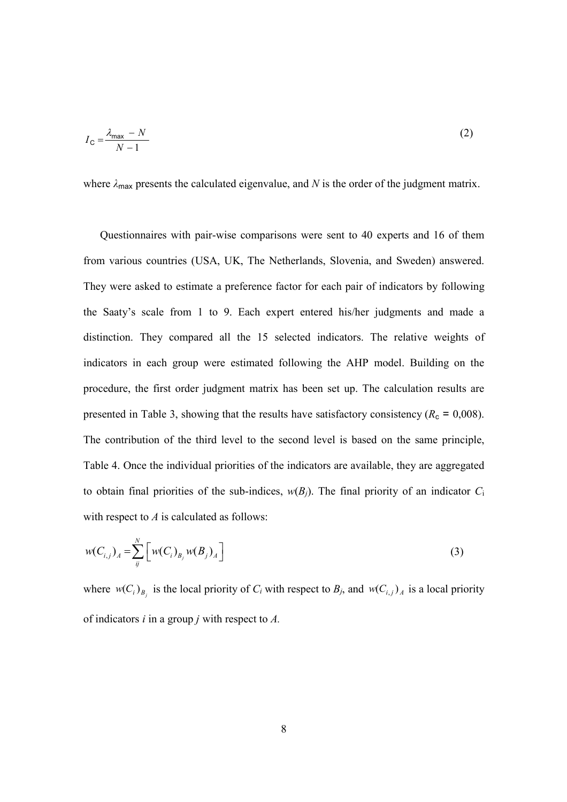$$
I_{\rm C} = \frac{\lambda_{\rm max} - N}{N - 1} \tag{2}
$$

where  $\lambda_{\text{max}}$  presents the calculated eigenvalue, and N is the order of the judgment matrix.

Questionnaires with pair-wise comparisons were sent to 40 experts and 16 of them from various countries (USA, UK, The Netherlands, Slovenia, and Sweden) answered. They were asked to estimate a preference factor for each pair of indicators by following the Saaty's scale from 1 to 9. Each expert entered his/her judgments and made a distinction. They compared all the 15 selected indicators. The relative weights of indicators in each group were estimated following the AHP model. Building on the procedure, the first order judgment matrix has been set up. The calculation results are presented in Table 3, showing that the results have satisfactory consistency ( $R_c = 0.008$ ). The contribution of the third level to the second level is based on the same principle, Table 4. Once the individual priorities of the indicators are available, they are aggregated to obtain final priorities of the sub-indices,  $w(B_i)$ . The final priority of an indicator  $C_i$ with respect to  $A$  is calculated as follows:

$$
w(C_{i,j})_A = \sum_{j}^{N} \left[ w(C_i)_{B_j} w(B_j)_A \right]
$$
 (3)

where  $w(C_i)_{B_j}$  is the local priority of  $C_i$  with respect to  $B_j$ , and  $w(C_{i,j})_A$  is a local priority of indicators  $i$  in a group  $j$  with respect to  $A$ .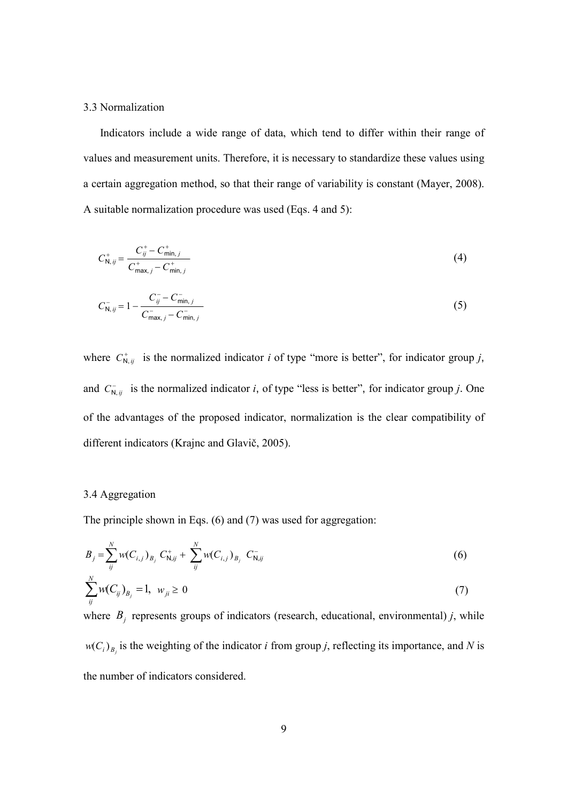#### 3.3 Normalization

Indicators include a wide range of data, which tend to differ within their range of values and measurement units. Therefore, it is necessary to standardize these values using a certain aggregation method, so that their range of variability is constant (Mayer, 2008). A suitable normalization procedure was used (Eqs. 4 and 5):

$$
C_{\mathsf{N},\,ij}^{+} = \frac{C_{ij}^{+} - C_{\min,j}^{+}}{C_{\max,j}^{+} - C_{\min,j}^{+}}
$$
\n(4)

$$
C_{\mathsf{N},\,ij}^- = 1 - \frac{C_{ij}^- - C_{\mathsf{min},\,j}^-}{C_{\mathsf{max},\,j}^- - C_{\mathsf{min},\,j}^-}
$$
\n<sup>(5)</sup>

where  $C_{N, ij}^+$  is the normalized indicator i of type "more is better", for indicator group j, and  $C_{N, ij}^-$  is the normalized indicator i, of type "less is better", for indicator group j. One of the advantages of the proposed indicator, normalization is the clear compatibility of different indicators (Krajnc and Glavič, 2005).

#### 3.4 Aggregation

The principle shown in Eqs. (6) and (7) was used for aggregation:

$$
B_j = \sum_{ij}^{N} w(C_{i,j})_{B_j} C_{N,ij}^+ + \sum_{ij}^{N} w(C_{i,j})_{B_j} C_{N,ij}^-
$$
 (6)

$$
\sum_{ij}^{N} w(C_{ij})_{B_j} = 1, \ w_{ji} \ge 0
$$
 (7)

where  $B_j$  represents groups of indicators (research, educational, environmental) j, while  $w(C_i)_{B_j}$  is the weighting of the indicator *i* from group *j*, reflecting its importance, and *N* is the number of indicators considered.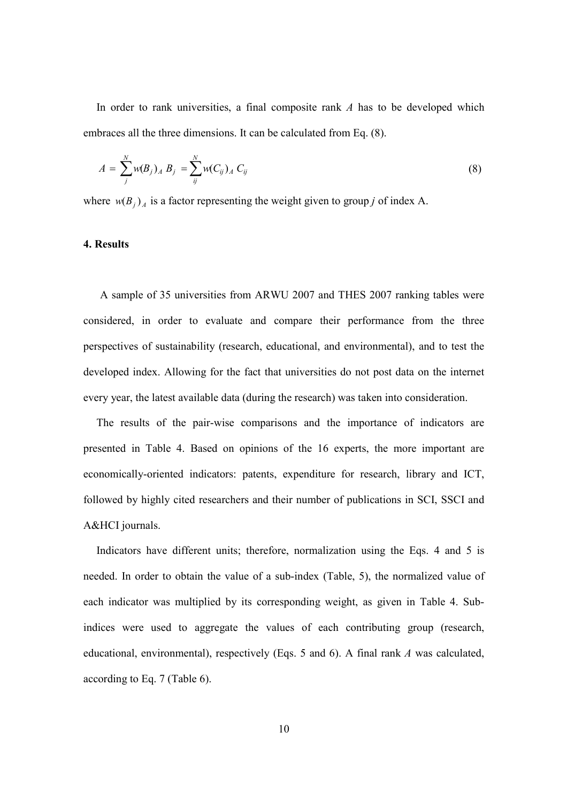In order to rank universities, a final composite rank  $A$  has to be developed which embraces all the three dimensions. It can be calculated from Eq. (8).

$$
A = \sum_{j}^{N} w(B_j)_A B_j = \sum_{ij}^{N} w(C_{ij})_A C_{ij}
$$
 (8)

where  $w(B_j)_A$  is a factor representing the weight given to group j of index A.

### 4. Results

A sample of 35 universities from ARWU 2007 and THES 2007 ranking tables were considered, in order to evaluate and compare their performance from the three perspectives of sustainability (research, educational, and environmental), and to test the developed index. Allowing for the fact that universities do not post data on the internet every year, the latest available data (during the research) was taken into consideration.

The results of the pair-wise comparisons and the importance of indicators are presented in Table 4. Based on opinions of the 16 experts, the more important are economically-oriented indicators: patents, expenditure for research, library and ICT, followed by highly cited researchers and their number of publications in SCI, SSCI and A&HCI journals.

Indicators have different units; therefore, normalization using the Eqs. 4 and 5 is needed. In order to obtain the value of a sub-index (Table, 5), the normalized value of each indicator was multiplied by its corresponding weight, as given in Table 4. Subindices were used to aggregate the values of each contributing group (research, educational, environmental), respectively (Eqs. 5 and 6). A final rank A was calculated, according to Eq. 7 (Table 6).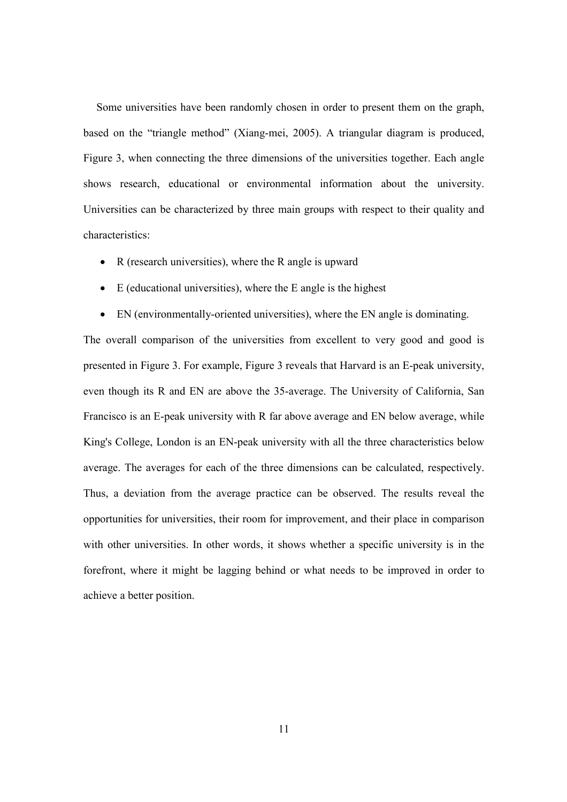Some universities have been randomly chosen in order to present them on the graph, based on the "triangle method" (Xiang-mei, 2005). A triangular diagram is produced, Figure 3, when connecting the three dimensions of the universities together. Each angle shows research, educational or environmental information about the university. Universities can be characterized by three main groups with respect to their quality and characteristics:

- R (research universities), where the R angle is upward
- E (educational universities), where the E angle is the highest
- EN (environmentally-oriented universities), where the EN angle is dominating.

The overall comparison of the universities from excellent to very good and good is presented in Figure 3. For example, Figure 3 reveals that Harvard is an E-peak university, even though its R and EN are above the 35-average. The University of California, San Francisco is an E-peak university with R far above average and EN below average, while King's College, London is an EN-peak university with all the three characteristics below average. The averages for each of the three dimensions can be calculated, respectively. Thus, a deviation from the average practice can be observed. The results reveal the opportunities for universities, their room for improvement, and their place in comparison with other universities. In other words, it shows whether a specific university is in the forefront, where it might be lagging behind or what needs to be improved in order to achieve a better position.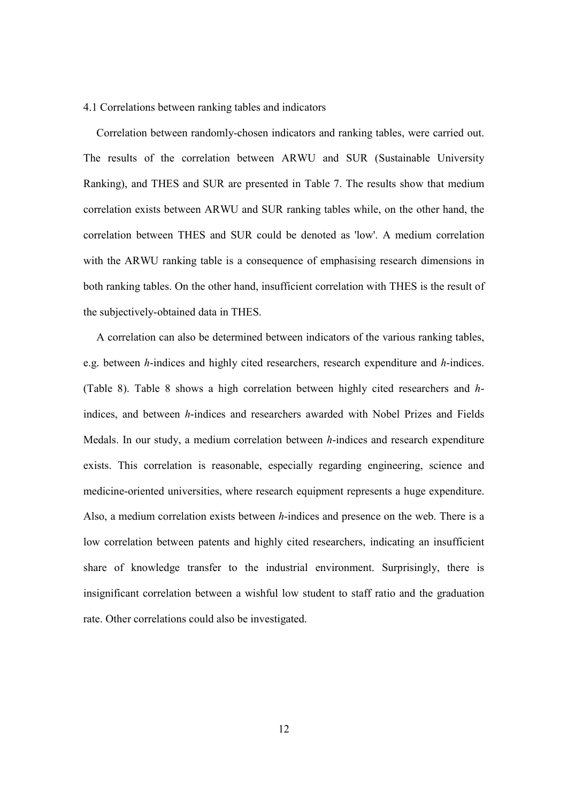#### 4.1 Correlations between ranking tables and indicators

Correlation between randomly-chosen indicators and ranking tables, were carried out. The results of the correlation between ARWU and SUR (Sustainable University Ranking), and THES and SUR are presented in Table 7. The results show that medium correlation exists between ARWU and SUR ranking tables while, on the other hand, the correlation between THES and SUR could be denoted as 'low'. A medium correlation with the ARWU ranking table is a consequence of emphasising research dimensions in both ranking tables. On the other hand, insufficient correlation with THES is the result of the subjectively-obtained data in THES.

A correlation can also be determined between indicators of the various ranking tables, e.g. between h-indices and highly cited researchers, research expenditure and h-indices. (Table 8). Table 8 shows a high correlation between highly cited researchers and hindices, and between h-indices and researchers awarded with Nobel Prizes and Fields Medals. In our study, a medium correlation between h-indices and research expenditure exists. This correlation is reasonable, especially regarding engineering, science and medicine-oriented universities, where research equipment represents a huge expenditure. Also, a medium correlation exists between h-indices and presence on the web. There is a low correlation between patents and highly cited researchers, indicating an insufficient share of knowledge transfer to the industrial environment. Surprisingly, there is insignificant correlation between a wishful low student to staff ratio and the graduation rate. Other correlations could also be investigated.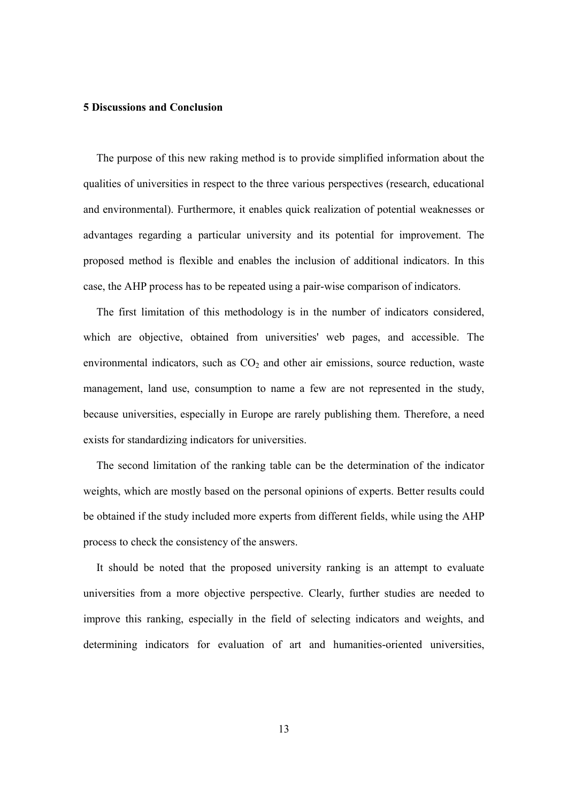### 5 Discussions and Conclusion

The purpose of this new raking method is to provide simplified information about the qualities of universities in respect to the three various perspectives (research, educational and environmental). Furthermore, it enables quick realization of potential weaknesses or advantages regarding a particular university and its potential for improvement. The proposed method is flexible and enables the inclusion of additional indicators. In this case, the AHP process has to be repeated using a pair-wise comparison of indicators.

The first limitation of this methodology is in the number of indicators considered, which are objective, obtained from universities' web pages, and accessible. The environmental indicators, such as  $CO<sub>2</sub>$  and other air emissions, source reduction, waste management, land use, consumption to name a few are not represented in the study, because universities, especially in Europe are rarely publishing them. Therefore, a need exists for standardizing indicators for universities.

The second limitation of the ranking table can be the determination of the indicator weights, which are mostly based on the personal opinions of experts. Better results could be obtained if the study included more experts from different fields, while using the AHP process to check the consistency of the answers.

It should be noted that the proposed university ranking is an attempt to evaluate universities from a more objective perspective. Clearly, further studies are needed to improve this ranking, especially in the field of selecting indicators and weights, and determining indicators for evaluation of art and humanities-oriented universities,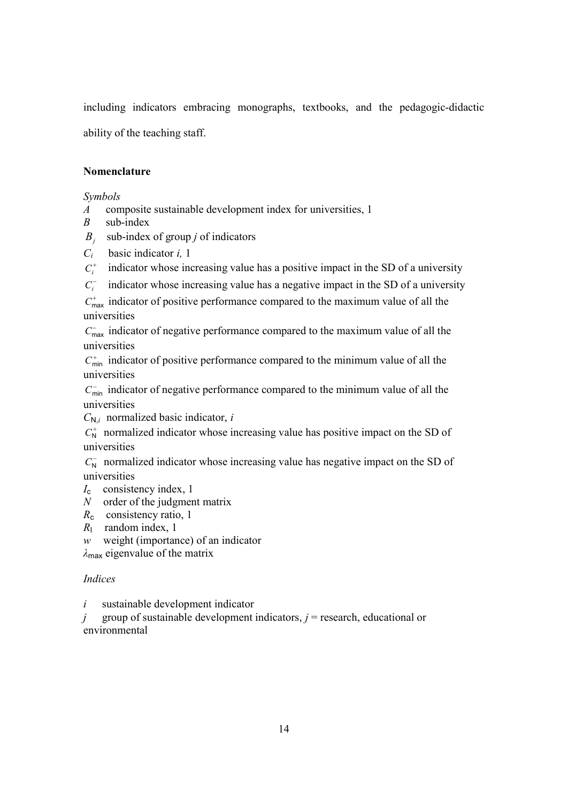including indicators embracing monographs, textbooks, and the pedagogic-didactic ability of the teaching staff.

## **Nomenclature**

### Symbols

- A composite sustainable development index for universities, 1
- $B$  sub-index
- $B_j$  sub-index of group j of indicators
- $C_i$  basic indicator i, 1
- $C_i^+$ indicator whose increasing value has a positive impact in the SD of a university
- $C_i^$ indicator whose increasing value has a negative impact in the SD of a university

 $C_{\text{max}}^+$  indicator of positive performance compared to the maximum value of all the universities

 $C<sub>max</sub>$  indicator of negative performance compared to the maximum value of all the universities

 $C_{\min}^+$  indicator of positive performance compared to the minimum value of all the universities

 $C_{\text{min}}^-$  indicator of negative performance compared to the minimum value of all the universities

 $C_{N,i}$  normalized basic indicator, i

 $C_N^+$  normalized indicator whose increasing value has positive impact on the SD of universities

 $C_{N}^-$  normalized indicator whose increasing value has negative impact on the SD of universities

- $I_c$  consistency index, 1
- $N$  order of the judgment matrix
- $R_c$  consistency ratio, 1
- $R_1$  random index, 1
- w weight (importance) of an indicator

 $\lambda_{\text{max}}$  eigenvalue of the matrix

## Indices

 $i$  sustainable development indicator

j group of sustainable development indicators,  $j$  = research, educational or environmental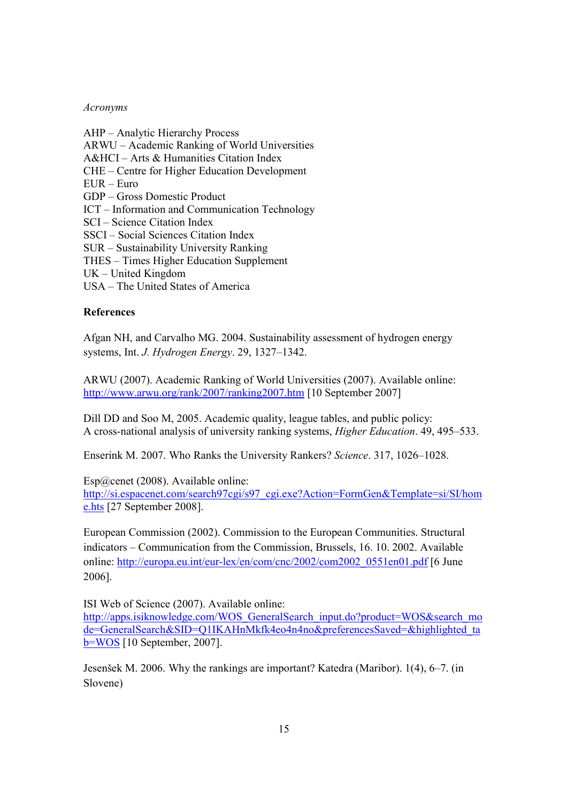#### Acronyms

AHP – Analytic Hierarchy Process ARWU – Academic Ranking of World Universities A&HCI – Arts & Humanities Citation Index CHE – Centre for Higher Education Development EUR – Euro GDP – Gross Domestic Product ICT – Information and Communication Technology SCI – Science Citation Index SSCI – Social Sciences Citation Index SUR – Sustainability University Ranking THES – Times Higher Education Supplement UK – United Kingdom USA – The United States of America

### References

Afgan NH, and Carvalho MG. 2004. Sustainability assessment of hydrogen energy systems, Int. J. Hydrogen Energy. 29, 1327–1342.

ARWU (2007). Academic Ranking of World Universities (2007). Available online: http://www.arwu.org/rank/2007/ranking2007.htm [10 September 2007]

Dill DD and Soo M, 2005. Academic quality, league tables, and public policy: A cross-national analysis of university ranking systems, Higher Education. 49, 495–533.

Enserink M. 2007. Who Ranks the University Rankers? Science. 317, 1026–1028.

Esp@cenet (2008). Available online:

http://si.espacenet.com/search97cgi/s97\_cgi.exe?Action=FormGen&Template=si/SI/hom e.hts [27 September 2008].

European Commission (2002). Commission to the European Communities. Structural indicators – Communication from the Commission, Brussels, 16. 10. 2002. Available online: http://europa.eu.int/eur-lex/en/com/cnc/2002/com2002\_0551en01.pdf [6 June 2006].

ISI Web of Science (2007). Available online:

http://apps.isiknowledge.com/WOS\_GeneralSearch\_input.do?product=WOS&search\_mo de=GeneralSearch&SID=Q1IKAHnMkfk4eo4n4no&preferencesSaved=&highlighted\_ta b=WOS [10 September, 2007].

Jesenšek M. 2006. Why the rankings are important? Katedra (Maribor). 1(4), 6–7. (in Slovene)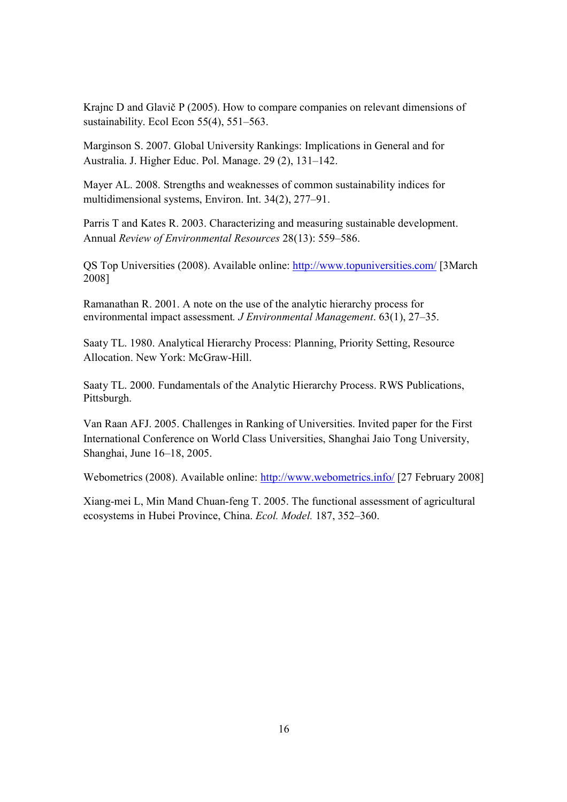Krajnc D and Glavič P (2005). How to compare companies on relevant dimensions of sustainability. Ecol Econ 55(4), 551–563.

Marginson S. 2007. Global University Rankings: Implications in General and for Australia. J. Higher Educ. Pol. Manage. 29 (2), 131–142.

Mayer AL. 2008. Strengths and weaknesses of common sustainability indices for multidimensional systems, Environ. Int. 34(2), 277–91.

Parris T and Kates R. 2003. Characterizing and measuring sustainable development. Annual Review of Environmental Resources 28(13): 559–586.

QS Top Universities (2008). Available online: http://www.topuniversities.com/ [3March 2008]

Ramanathan R. 2001. A note on the use of the analytic hierarchy process for environmental impact assessment. J Environmental Management. 63(1), 27–35.

Saaty TL. 1980. Analytical Hierarchy Process: Planning, Priority Setting, Resource Allocation. New York: McGraw-Hill.

Saaty TL. 2000. Fundamentals of the Analytic Hierarchy Process. RWS Publications, Pittsburgh.

Van Raan AFJ. 2005. Challenges in Ranking of Universities. Invited paper for the First International Conference on World Class Universities, Shanghai Jaio Tong University, Shanghai, June 16–18, 2005.

Webometrics (2008). Available online: http://www.webometrics.info/ [27 February 2008]

Xiang-mei L, Min Mand Chuan-feng T. 2005. The functional assessment of agricultural ecosystems in Hubei Province, China. Ecol. Model. 187, 352–360.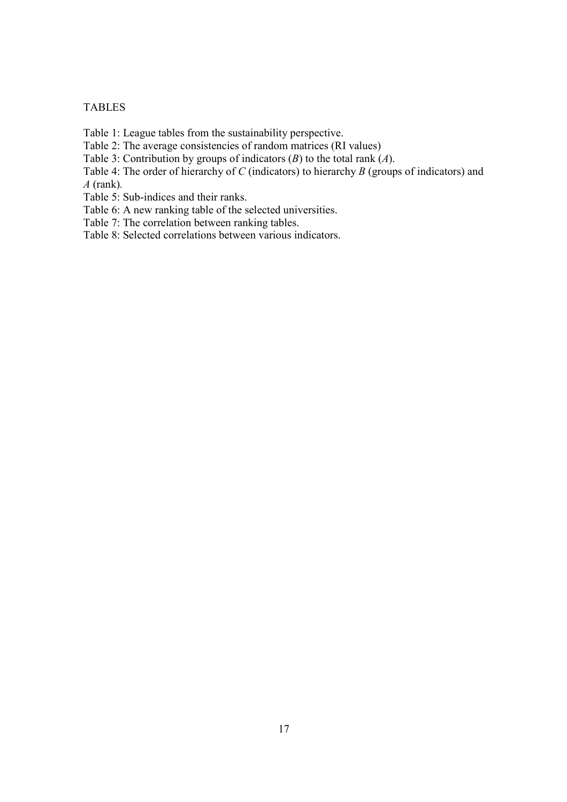### TABLES

Table 1: League tables from the sustainability perspective.

Table 2: The average consistencies of random matrices (RI values)

Table 3: Contribution by groups of indicators  $(B)$  to the total rank  $(A)$ .

Table 4: The order of hierarchy of C (indicators) to hierarchy B (groups of indicators) and  $A$  (rank).

Table 5: Sub-indices and their ranks.

Table 6: A new ranking table of the selected universities.

Table 7: The correlation between ranking tables.

Table 8: Selected correlations between various indicators.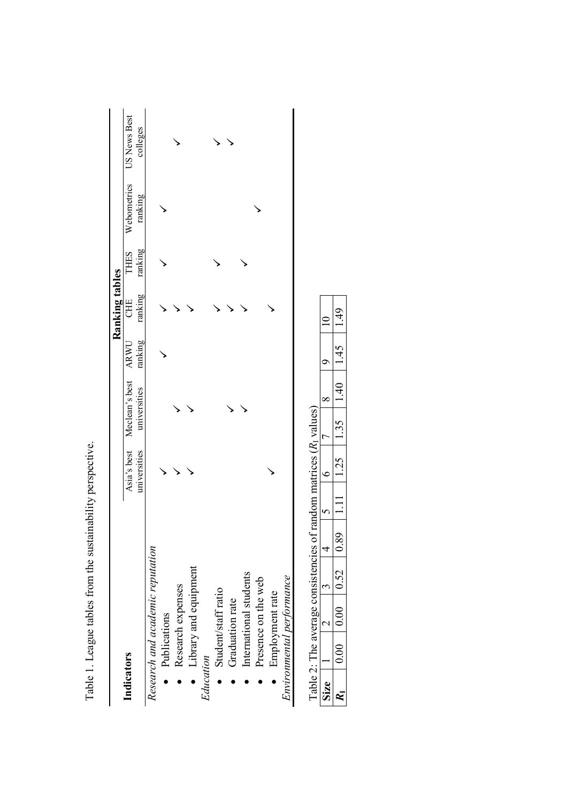|                                  |              |                                 |         | Ranking tables |             |             |              |
|----------------------------------|--------------|---------------------------------|---------|----------------|-------------|-------------|--------------|
| Indicators                       |              | Asia's best Meclean's best ARWU |         | CHE            | <b>THES</b> | Webometrics | US News Best |
|                                  | universities | universities                    | ranking | ranking        | ranking     | ranking     | colleges     |
| Research and academic reputation |              |                                 |         |                |             |             |              |
| Publications                     |              |                                 |         |                |             |             |              |
| Research expenses                |              |                                 |         |                |             |             |              |
| Library and equipment            |              |                                 |         |                |             |             |              |
| Education                        |              |                                 |         |                |             |             |              |
| Student/staff ratio              |              |                                 |         |                |             |             |              |
| Graduation rate                  |              |                                 |         |                |             |             |              |
| International students           |              |                                 |         |                |             |             |              |
| Presence on the web              |              |                                 |         |                |             |             |              |
| Employment rate                  |              |                                 |         |                |             |             |              |
| Environmental performance        |              |                                 |         |                |             |             |              |

Table 1. League tables from the sustainability perspective. Table 1. League tables from the sustainability perspective.

| J |     |   |         |                                                                      |  |  |
|---|-----|---|---------|----------------------------------------------------------------------|--|--|
|   |     | j |         | ľ                                                                    |  |  |
|   | こうこ |   | י<br>דו | ֧֦֧֦֧֦֧֦֧֪֦֧֧֧֧֧֧֧֧֛֪֧֧֧֧֛֪֧֧֚֡֝֟֟֓֝֝֝֝֝֬֝֝֬֝֬֝֬֝֬֝֬֝֬֜֜֝֬֝֬֝֝֬֜֝֬֝֬ |  |  |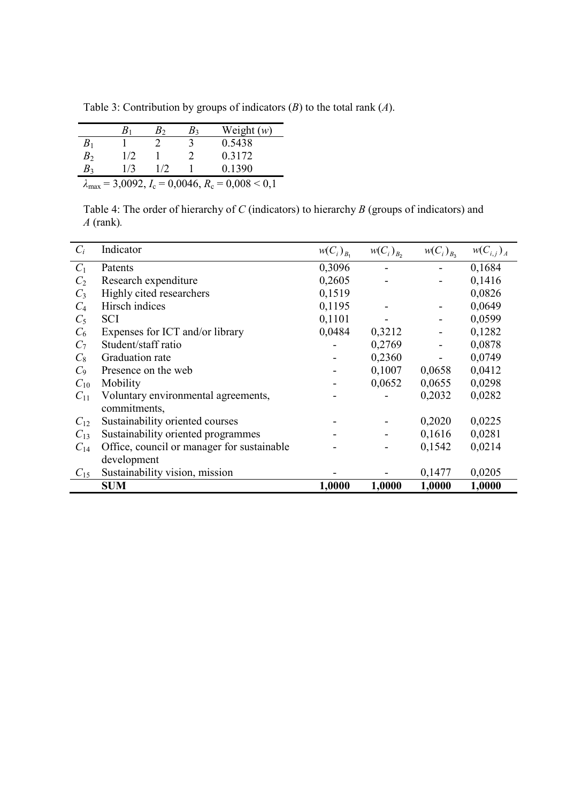|  |  |  |  |  | Table 3: Contribution by groups of indicators $(B)$ to the total rank $(A)$ . |
|--|--|--|--|--|-------------------------------------------------------------------------------|
|--|--|--|--|--|-------------------------------------------------------------------------------|

|                | $B_1$ | B›  | $B_3$ | Weight $(w)$                                                     |
|----------------|-------|-----|-------|------------------------------------------------------------------|
| B <sub>1</sub> |       |     |       | 0.5438                                                           |
| B <sub>2</sub> | 1/2   |     |       | 0 3 1 7 2                                                        |
| $B_3$          | 1/3   | 1/2 |       | 0.1390                                                           |
|                |       |     |       | $\lambda_{\text{max}} = 3,0092, I_c = 0,0046, R_c = 0,008 < 0,1$ |

Table 4: The order of hierarchy of  $C$  (indicators) to hierarchy  $B$  (groups of indicators) and  $A$  (rank).

| $C_i$          | Indicator                                  | $w(C_i)_{B_1}$ | $W(C_i)_{B_2}$ | $W(C_i)_{B_3}$ | $w(C_{i,j})_A$ |
|----------------|--------------------------------------------|----------------|----------------|----------------|----------------|
| $C_1$          | Patents                                    | 0,3096         |                |                | 0,1684         |
| C <sub>2</sub> | Research expenditure                       | 0,2605         |                |                | 0,1416         |
| $C_3$          | Highly cited researchers                   | 0,1519         |                |                | 0,0826         |
| $C_4$          | Hirsch indices                             | 0,1195         |                |                | 0,0649         |
| $C_5$          | <b>SCI</b>                                 | 0,1101         |                |                | 0,0599         |
| $C_6$          | Expenses for ICT and/or library            | 0,0484         | 0,3212         |                | 0,1282         |
| C <sub>7</sub> | Student/staff ratio                        |                | 0,2769         |                | 0,0878         |
| $C_8$          | Graduation rate                            |                | 0,2360         |                | 0,0749         |
| $C_9$          | Presence on the web                        |                | 0,1007         | 0,0658         | 0,0412         |
| $C_{10}$       | Mobility                                   |                | 0,0652         | 0,0655         | 0,0298         |
| $C_{11}$       | Voluntary environmental agreements,        |                |                | 0,2032         | 0,0282         |
|                | commitments,                               |                |                |                |                |
| $C_{12}$       | Sustainability oriented courses            |                |                | 0,2020         | 0,0225         |
| $C_{13}$       | Sustainability oriented programmes         |                |                | 0,1616         | 0,0281         |
| $C_{14}$       | Office, council or manager for sustainable |                |                | 0,1542         | 0,0214         |
|                | development                                |                |                |                |                |
| $C_{15}$       | Sustainability vision, mission             |                |                | 0,1477         | 0,0205         |
|                | <b>SUM</b>                                 | 1,0000         | 1,0000         | 1,0000         | 1,0000         |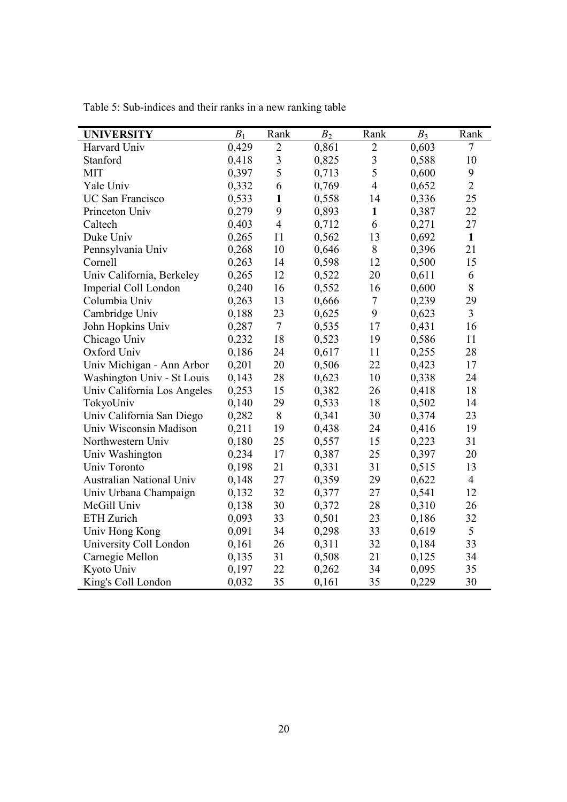| <b>UNIVERSITY</b>           | $B_1$ | Rank                    | B <sub>2</sub> | Rank                    | $B_3$ | Rank           |
|-----------------------------|-------|-------------------------|----------------|-------------------------|-------|----------------|
| Harvard Univ                | 0,429 | $\overline{2}$          | 0,861          | $\overline{2}$          | 0,603 | $\overline{7}$ |
| Stanford                    | 0,418 | $\overline{\mathbf{3}}$ | 0,825          | $\overline{\mathbf{3}}$ | 0,588 | 10             |
| <b>MIT</b>                  | 0,397 | 5                       | 0,713          | 5                       | 0,600 | 9              |
| Yale Univ                   | 0,332 | 6                       | 0,769          | $\overline{4}$          | 0,652 | $\overline{2}$ |
| UC San Francisco            | 0,533 | $\mathbf{1}$            | 0,558          | 14                      | 0,336 | 25             |
| Princeton Univ              | 0,279 | 9                       | 0,893          | $\mathbf{1}$            | 0,387 | 22             |
| Caltech                     | 0,403 | $\overline{4}$          | 0,712          | 6                       | 0,271 | 27             |
| Duke Univ                   | 0,265 | 11                      | 0,562          | 13                      | 0,692 | $\mathbf{1}$   |
| Pennsylvania Univ           | 0,268 | 10                      | 0,646          | $8\,$                   | 0,396 | 21             |
| Cornell                     | 0,263 | 14                      | 0,598          | 12                      | 0,500 | 15             |
| Univ California, Berkeley   | 0,265 | 12                      | 0,522          | 20                      | 0,611 | 6              |
| Imperial Coll London        | 0,240 | 16                      | 0,552          | 16                      | 0,600 | $8\,$          |
| Columbia Univ               | 0,263 | 13                      | 0,666          | $\overline{7}$          | 0,239 | 29             |
| Cambridge Univ              | 0,188 | 23                      | 0,625          | 9                       | 0,623 | $\overline{3}$ |
| John Hopkins Univ           | 0,287 | $\tau$                  | 0,535          | 17                      | 0,431 | 16             |
| Chicago Univ                | 0,232 | 18                      | 0,523          | 19                      | 0,586 | 11             |
| Oxford Univ                 | 0,186 | 24                      | 0,617          | 11                      | 0,255 | 28             |
| Univ Michigan - Ann Arbor   | 0,201 | 20                      | 0,506          | 22                      | 0,423 | 17             |
| Washington Univ - St Louis  | 0,143 | 28                      | 0,623          | 10                      | 0,338 | 24             |
| Univ California Los Angeles | 0,253 | 15                      | 0,382          | 26                      | 0,418 | 18             |
| TokyoUniv                   | 0,140 | 29                      | 0,533          | 18                      | 0,502 | 14             |
| Univ California San Diego   | 0,282 | 8                       | 0,341          | 30                      | 0,374 | 23             |
| Univ Wisconsin Madison      | 0,211 | 19                      | 0,438          | 24                      | 0,416 | 19             |
| Northwestern Univ           | 0,180 | 25                      | 0,557          | 15                      | 0,223 | 31             |
| Univ Washington             | 0,234 | 17                      | 0,387          | 25                      | 0,397 | 20             |
| Univ Toronto                | 0,198 | 21                      | 0,331          | 31                      | 0,515 | 13             |
| Australian National Univ    | 0,148 | 27                      | 0,359          | 29                      | 0,622 | $\overline{4}$ |
| Univ Urbana Champaign       | 0,132 | 32                      | 0,377          | 27                      | 0,541 | 12             |
| McGill Univ                 | 0,138 | 30                      | 0,372          | 28                      | 0,310 | 26             |
| ETH Zurich                  | 0,093 | 33                      | 0,501          | 23                      | 0,186 | 32             |
| Univ Hong Kong              | 0,091 | 34                      | 0,298          | 33                      | 0,619 | 5              |
| University Coll London      | 0,161 | 26                      | 0,311          | 32                      | 0,184 | 33             |
| Carnegie Mellon             | 0,135 | 31                      | 0,508          | 21                      | 0,125 | 34             |
| Kyoto Univ                  | 0,197 | 22                      | 0,262          | 34                      | 0,095 | 35             |
| King's Coll London          | 0,032 | 35                      | 0,161          | 35                      | 0,229 | 30             |

Table 5: Sub-indices and their ranks in a new ranking table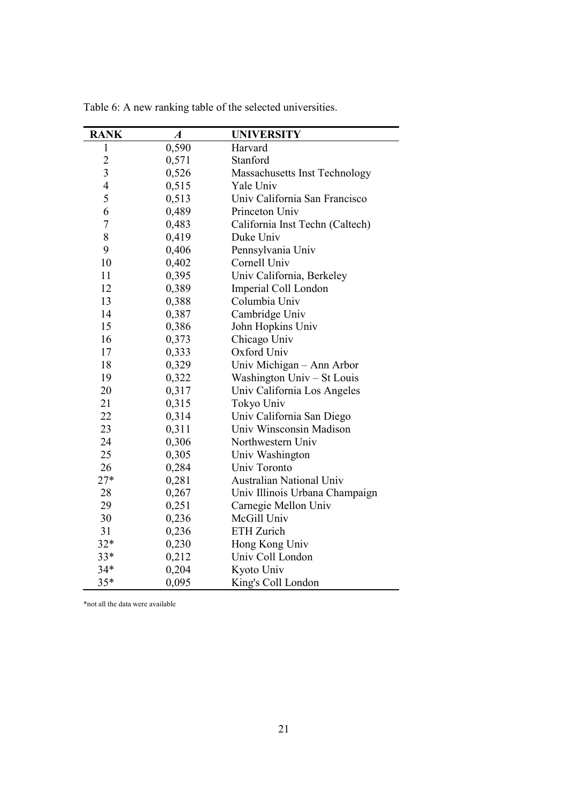| <b>RANK</b>      | $\boldsymbol{A}$ | <b>UNIVERSITY</b>               |
|------------------|------------------|---------------------------------|
| 1                | 0,590            | Harvard                         |
| $\overline{c}$   | 0,571            | Stanford                        |
| $\overline{3}$   | 0,526            | Massachusetts Inst Technology   |
| $\overline{4}$   | 0,515            | Yale Univ                       |
| 5                | 0,513            | Univ California San Francisco   |
| 6                | 0,489            | Princeton Univ                  |
| $\boldsymbol{7}$ | 0,483            | California Inst Techn (Caltech) |
| 8                | 0,419            | Duke Univ                       |
| 9                | 0,406            | Pennsylvania Univ               |
| 10               | 0,402            | Cornell Univ                    |
| 11               | 0,395            | Univ California, Berkeley       |
| 12               | 0,389            | Imperial Coll London            |
| 13               | 0,388            | Columbia Univ                   |
| 14               | 0,387            | Cambridge Univ                  |
| 15               | 0,386            | John Hopkins Univ               |
| 16               | 0,373            | Chicago Univ                    |
| 17               | 0,333            | Oxford Univ                     |
| 18               | 0,329            | Univ Michigan - Ann Arbor       |
| 19               | 0,322            | Washington Univ – St Louis      |
| 20               | 0,317            | Univ California Los Angeles     |
| 21               | 0,315            | Tokyo Univ                      |
| 22               | 0,314            | Univ California San Diego       |
| 23               | 0,311            | Univ Winsconsin Madison         |
| 24               | 0,306            | Northwestern Univ               |
| 25               | 0,305            | Univ Washington                 |
| 26               | 0,284            | Univ Toronto                    |
| $27*$            | 0,281            | <b>Australian National Univ</b> |
| 28               | 0,267            | Univ Illinois Urbana Champaign  |
| 29               | 0,251            | Carnegie Mellon Univ            |
| 30               | 0,236            | McGill Univ                     |
| 31               | 0,236            | ETH Zurich                      |
| $32*$            | 0,230            | Hong Kong Univ                  |
| $33*$            | 0,212            | Univ Coll London                |
| $34*$            | 0,204            | Kyoto Univ                      |
| $35*$            | 0,095            | King's Coll London              |

Table 6: A new ranking table of the selected universities.

\*not all the data were available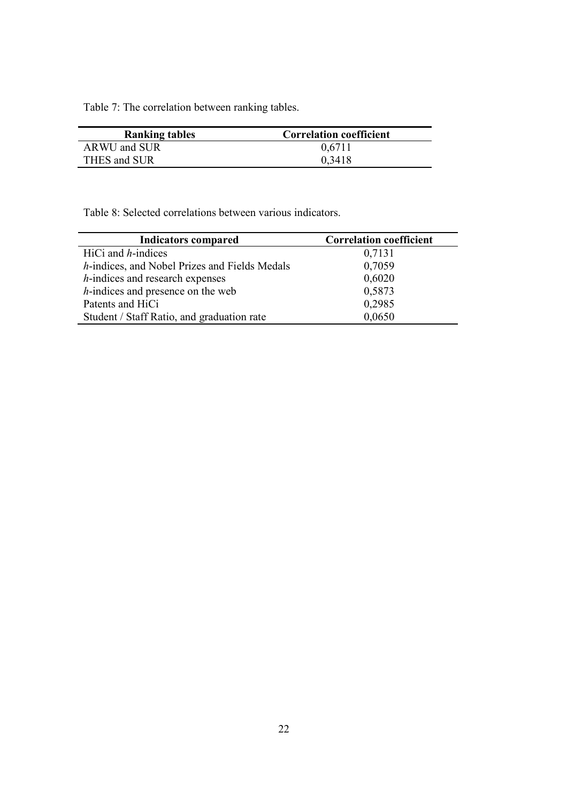Table 7: The correlation between ranking tables.

| <b>Ranking tables</b> | <b>Correlation coefficient</b> |
|-----------------------|--------------------------------|
| ARWU and SUR          | 0,6711                         |
| THES and SUR          | 0.3418                         |

Table 8: Selected correlations between various indicators.

| <b>Indicators compared</b>                    | <b>Correlation coefficient</b> |
|-----------------------------------------------|--------------------------------|
| HiCi and $h$ -indices                         | 0,7131                         |
| h-indices, and Nobel Prizes and Fields Medals | 0,7059                         |
| <i>h</i> -indices and research expenses       | 0,6020                         |
| <i>h</i> -indices and presence on the web     | 0,5873                         |
| Patents and HiCi                              | 0,2985                         |
| Student / Staff Ratio, and graduation rate    | 0,0650                         |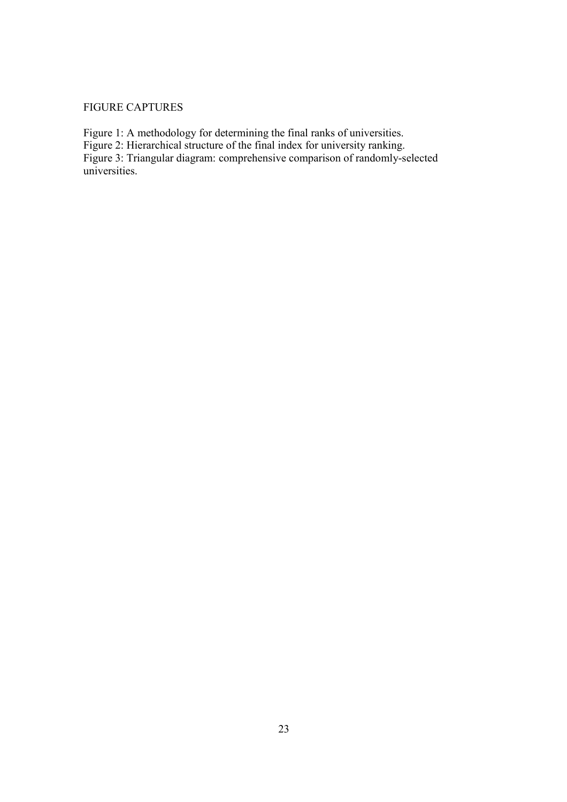## FIGURE CAPTURES

Figure 1: A methodology for determining the final ranks of universities.

Figure 2: Hierarchical structure of the final index for university ranking.

Figure 3: Triangular diagram: comprehensive comparison of randomly-selected universities.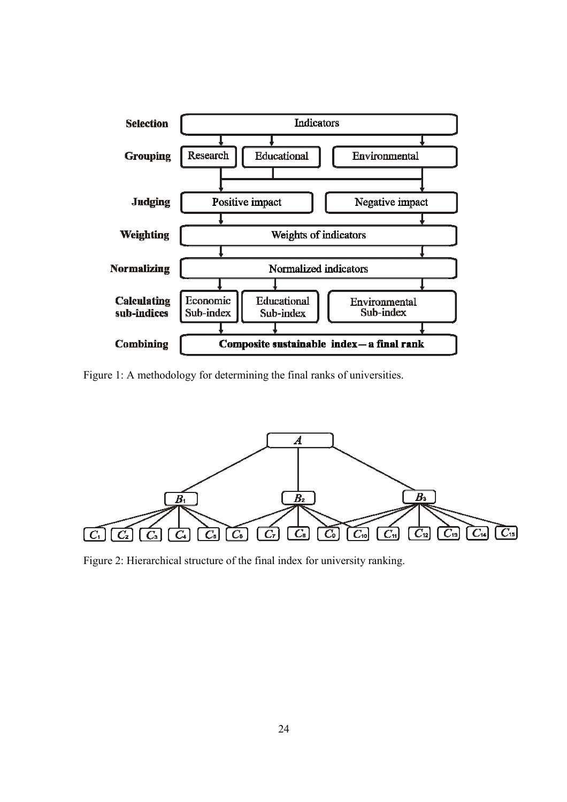

Figure 1: A methodology for determining the final ranks of universities.



Figure 2: Hierarchical structure of the final index for university ranking.